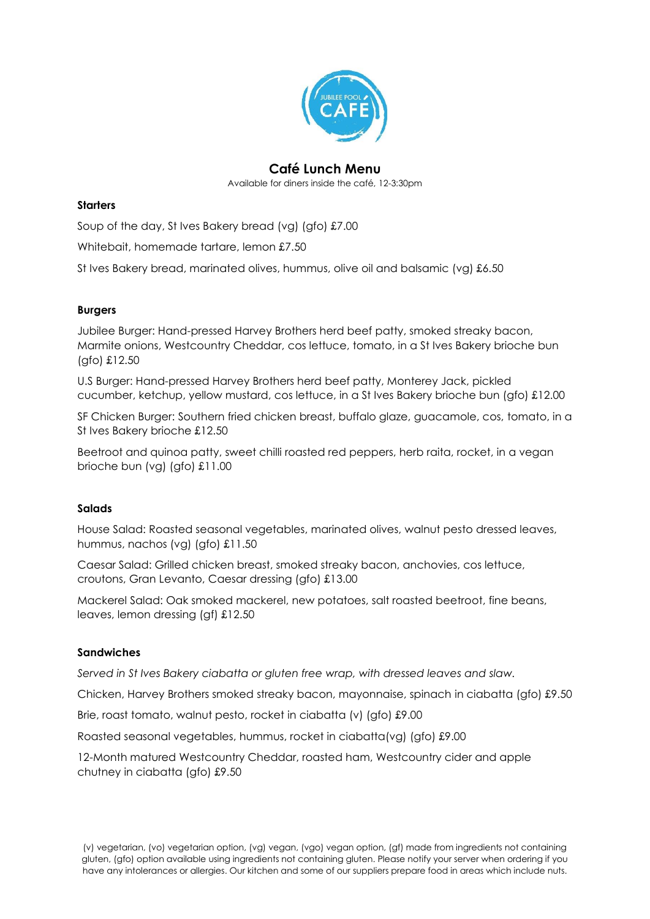

# **Café Lunch Menu**

Available for diners inside the café, 12-3:30pm

#### **Starters**

Soup of the day, St Ives Bakery bread (vg) (gfo) £7.00

Whitebait, homemade tartare, lemon £7.50

St Ives Bakery bread, marinated olives, hummus, olive oil and balsamic (vg) £6.50

## **Burgers**

Jubilee Burger: Hand-pressed Harvey Brothers herd beef patty, smoked streaky bacon, Marmite onions, Westcountry Cheddar, cos lettuce, tomato, in a St Ives Bakery brioche bun (gfo) £12.50

U.S Burger: Hand-pressed Harvey Brothers herd beef patty, Monterey Jack, pickled cucumber, ketchup, yellow mustard, cos lettuce, in a St Ives Bakery brioche bun (gfo) £12.00

SF Chicken Burger: Southern fried chicken breast, buffalo glaze, guacamole, cos, tomato, in a St Ives Bakery brioche £12.50

Beetroot and quinoa patty, sweet chilli roasted red peppers, herb raita, rocket, in a vegan brioche bun (vg) (gfo) £11.00

## **Salads**

House Salad: Roasted seasonal vegetables, marinated olives, walnut pesto dressed leaves, hummus, nachos (vg) (gfo) £11.50

Caesar Salad: Grilled chicken breast, smoked streaky bacon, anchovies, cos lettuce, croutons, Gran Levanto, Caesar dressing (gfo) £13.00

Mackerel Salad: Oak smoked mackerel, new potatoes, salt roasted beetroot, fine beans, leaves, lemon dressing (gf) £12.50

## **Sandwiches**

*Served in St Ives Bakery ciabatta or gluten free wrap, with dressed leaves and slaw.*

Chicken, Harvey Brothers smoked streaky bacon, mayonnaise, spinach in ciabatta (gfo) £9.50

Brie, roast tomato, walnut pesto, rocket in ciabatta (v) (gfo) £9.00

Roasted seasonal vegetables, hummus, rocket in ciabatta(vg) (gfo) £9.00

12-Month matured Westcountry Cheddar, roasted ham, Westcountry cider and apple chutney in ciabatta (gfo) £9.50